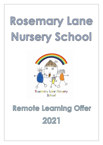# Rosemary Lane Nursery School



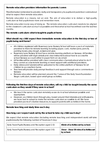### **Remote education provision: information for parents /carers**

This information is intended to provide clarity and transparency to pupils and parents or carers about what to expect from remote education.

Remote education is a means, not an end. The aim of education is to deliver a high-quality curriculum so that pupils know more and remember more.

Remote education is one way of doing so. The remote education curriculum needs to be aligned to the classroom curriculum as much as possible and this is what school has refined over the last few months.

### **The remote curriculum: what is taught to pupils at home**

### **What should my child expect from immediate remote education in the first day or two of pupils being sent home?**

- All children registered with Rosemary Lane Nursery School will have a pack of materials provided to them for remote learning including paper, card, marker pens, pencils, painting boxes, play dough, scissors and glue.
- Rosemary Lane Nursery School has a remote learning platform on Seesaw. All families will be provided with login details and clear instructions about how to access the school Seesaw account either in paper form on via email.
- All families will be provided with clear communication channels about what to do if they cannot access remote learning or need support with additional provisions.
- Daily videos and tutorials will be uploaded to the online platform of Seesaw for all children to access from home.
- Teachers will provide daily prompt feedback and support through voice comments on Seesaw.
- Remote education will be planned around the 7 areas of the Early Years Foundation Stage curriculum, based upon small group activities.

### **Following the first few days of remote education, will my child be taught broadly the same curriculum as they would if they were in school?**

- We teach the same curriculum remotely as we do in school wherever possible and appropriate.
- However, as children learn through play, based around their interests and enthusiasms, we have had to adapt to make the remote curriculum accessible to all. We have provided packs of creative resources, to support parents with activities in the home.

# **Remote teaching and study time each day**

### **How long can I expect work set by the school to take my child each day?**

We expect that remote education (including remote teaching and independent work) will take pupils broadly the following number of hours each day:

| Early Years Pupils (Nursery and Reception aged 2-3) | 45min of activities set by school.                    |
|-----------------------------------------------------|-------------------------------------------------------|
| Early Years Pupils (Nursery and Reception aged 3-5) | 1hour - 1hour 30 mins of activities set<br>by school. |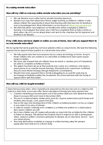### **Accessing remote education**

### **How will my child access any online remote education you are providing?**

- We use Seesaw as an online tool to provide learning resources.
- Seesaw is an app that allows teachers to assign learning activities to children. It also allows children the opportunity to share their learning with their teacher for feedback and acknowledgement. More information can be found at<https://web.seesaw.me/>
- We think this will be very helpful to our families who will be engaging in distance learning. It is envisaged that when your child has completed their activity a photo or short video clip of it can be simply taken and sent to the class teacher for approval and feedback via Seesaw.

### **If my child does not have digital or online access at home, how will you support them to access remote education?**

We recognise that some pupils may not have suitable online access at home. We take the following approaches to support those pupils to access remote education:

- We fully appreciate that not everyone has access to technology at home. As such, those children who are unable to access online activities have been given paperbased activities.
- We have also ensured that all children have received a creative pack of materials to be able to complete activities at home.
- The system has been set up so that parents and carers, at a minimum, only need a smart phone to access the remote learning. All parents and carers have confirmed they do have this technology through telephone conversations.
- Should it become apparent that a family is struggling to access the work due to technological limitations within the household, the school will work with the family to support them with this matter.

# **How will my child be taught remotely?**

Asynchronous education, when materials are prepared by the teacher and accessed by the pupil at a later date, is our main offer. Some examples of remote teaching approaches:

- Creative materials packs were given out in December 2020 and new starters received these in January 2021 and more in December 2021.
- The pack contains scissors, marker pens, pencils, crayons, watercolour paint boxes and brushes, play dough, card, paper and glue.
- Due to the age and development of the children activities provided can be accessed in any order or by area of interest.
- In order to ensure continuity and consistency activities are posted on a daily basis at 9am (when children are off).
- Each day children are off, nursery will provide an input into the activities for the children to follow on Seesaw. This will form the basis for them to respond to with a photograph, video, verbal or written comment uploaded to Seesaw via an electronic device – such as a smart phone.
- Teaching staff will be available to engage in online learning using the seesaw application from 8:45 am to 2.45 pm daily.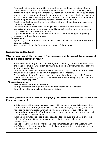- Feedback (either verbal or in written form) will be provided for every piece of work posted. Feedback should be detailed and meaningful and of the same quality as that of face-to-face teaching in the classroom, offering encouragement where appropriate and areas for improvement should this be apparent. It is not acceptable to respond to a child's piece of work with only an emoji. Where appropriate, whole class instructions will also be provided to support the collective learning of the children.
- Teaching staff will reassess the pace or difficulty of what is being taught in response to questions or assessments.
- Due thought and attention will also be given to the mental health of the children accessing remote learning by providing additional activities that promote a sense of positive wellbeing; this is really important.
- Regular telephone conversations with parents are also used for support regarding emotional wellbeing for the family.

### **Other resources :**

- Signposting/links to resources : Durham music service rhyme time, online library service story time videos.
- Activities available on the Rosemary Lane Nursery School website

### **Engagement and feedback**

### **What are your expectations for my child's engagement and the support that we as parents and carers should provide at home?**

- Rosemary Lane Nursery School acknowledges that teaching children at home can be challenging. However, we expect learning to take place everyday, Monday-Friday and for a set period of time.
- Children do not have to work from 8.45am 11.45am/2.45pm but can access activities around parental working hours or family pressures on technology.
- Rosemary Lane Nursery School also welcomes parents and carers to use SeeSaw as a means for communicating directly with nursery. Responses will be prompt and support offered wherever possible.

### **We expect parents to:**

- Seek help from the school if they need it.
- Be respectful when making any comments or concerns known to nursery.
- Support their children with home learning activities.

### **How will you check whether my child is engaging with their work and how will I be informed if there are concerns?**

- A daily register will be taken to ensure nursery children are engaging in learning, when children are absent but in good health. If a child is not engaging in learning and there has been no communication with school, the parent or carer of the child will be contacted and sensitively offered support. (As nursery education is non statutory this will be handled in a sensitive manner)
- Teachers will give feedback on a daily basis. Feedback is quicker and more effective online with Seesaw. If there are any concerns raised, teachers will contact parents/carers.
- The Headteacher will also be monitoring engagement levels using the Seesaw analytics tool. Where a child is not engaging, she will also reach out to the parents and carers to offer the appropriate support.